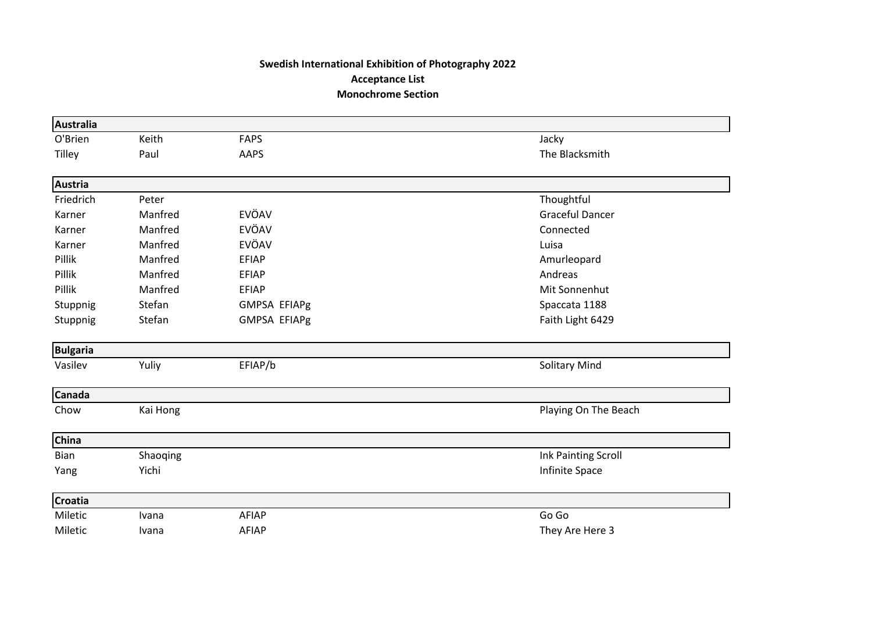## **Swedish International Exhibition of Photography 2022 Acceptance List Monochrome Section**

| <b>Australia</b> |          |                     |                        |
|------------------|----------|---------------------|------------------------|
| O'Brien          | Keith    | <b>FAPS</b>         | Jacky                  |
| Tilley           | Paul     | AAPS                | The Blacksmith         |
| <b>Austria</b>   |          |                     |                        |
| Friedrich        | Peter    |                     | Thoughtful             |
| Karner           | Manfred  | EVÖAV               | <b>Graceful Dancer</b> |
| Karner           | Manfred  | EVÖAV               | Connected              |
| Karner           | Manfred  | EVÖAV               | Luisa                  |
| Pillik           | Manfred  | <b>EFIAP</b>        | Amurleopard            |
| Pillik           | Manfred  | <b>EFIAP</b>        | Andreas                |
| Pillik           | Manfred  | <b>EFIAP</b>        | Mit Sonnenhut          |
| Stuppnig         | Stefan   | <b>GMPSA EFIAPg</b> | Spaccata 1188          |
| Stuppnig         | Stefan   | <b>GMPSA EFIAPg</b> | Faith Light 6429       |
| <b>Bulgaria</b>  |          |                     |                        |
| Vasilev          | Yuliy    | EFIAP/b             | <b>Solitary Mind</b>   |
| <b>Canada</b>    |          |                     |                        |
| Chow             | Kai Hong |                     | Playing On The Beach   |
| China            |          |                     |                        |
| Bian             | Shaoqing |                     | Ink Painting Scroll    |
| Yang             | Yichi    |                     | Infinite Space         |
| <b>Croatia</b>   |          |                     |                        |
| Miletic          | Ivana    | <b>AFIAP</b>        | Go Go                  |
| Miletic          | Ivana    | AFIAP               | They Are Here 3        |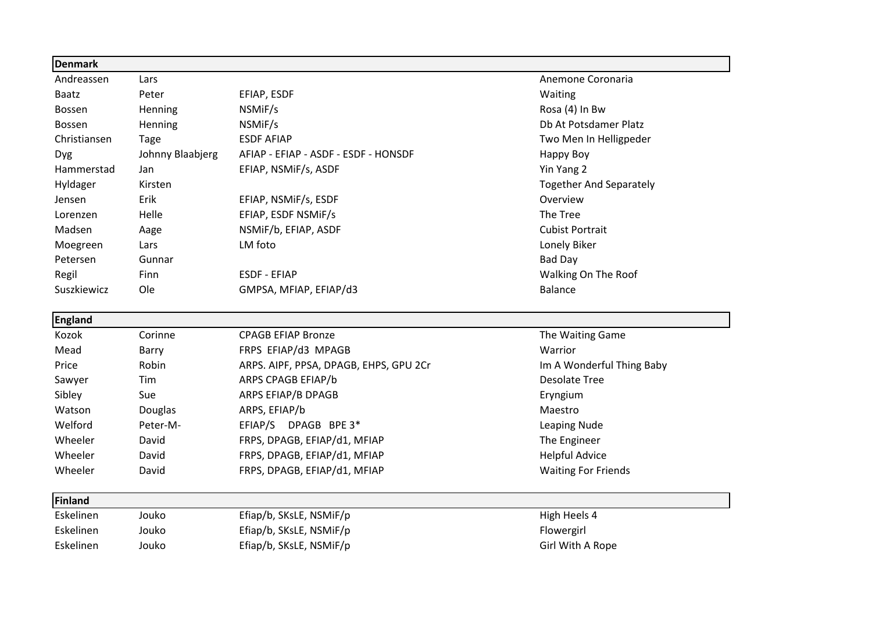| <b>Denmark</b> |                  |                                        |                                |
|----------------|------------------|----------------------------------------|--------------------------------|
| Andreassen     | Lars             |                                        | Anemone Coronaria              |
| <b>Baatz</b>   | Peter            | EFIAP, ESDF                            | Waiting                        |
| <b>Bossen</b>  | Henning          | NSMIF/s                                | Rosa (4) In Bw                 |
| Bossen         | Henning          | NSMiF/s                                | Db At Potsdamer Platz          |
| Christiansen   | Tage             | <b>ESDF AFIAP</b>                      | Two Men In Helligpeder         |
| <b>Dyg</b>     | Johnny Blaabjerg | AFIAP - EFIAP - ASDF - ESDF - HONSDF   | Happy Boy                      |
| Hammerstad     | Jan              | EFIAP, NSMIF/s, ASDF                   | Yin Yang 2                     |
| Hyldager       | Kirsten          |                                        | <b>Together And Separately</b> |
| Jensen         | Erik             | EFIAP, NSMIF/s, ESDF                   | Overview                       |
| Lorenzen       | Helle            | EFIAP, ESDF NSMIF/s                    | The Tree                       |
| Madsen         | Aage             | NSMiF/b, EFIAP, ASDF                   | <b>Cubist Portrait</b>         |
| Moegreen       | Lars             | LM foto                                | Lonely Biker                   |
| Petersen       | Gunnar           |                                        | <b>Bad Day</b>                 |
| Regil          | Finn             | <b>ESDF - EFIAP</b>                    | Walking On The Roof            |
| Suszkiewicz    | Ole              | GMPSA, MFIAP, EFIAP/d3                 | <b>Balance</b>                 |
| <b>England</b> |                  |                                        |                                |
| Kozok          | Corinne          | <b>CPAGB EFIAP Bronze</b>              | The Waiting Game               |
| Mead           | Barry            | FRPS EFIAP/d3 MPAGB                    | Warrior                        |
| Price          | Robin            | ARPS. AIPF, PPSA, DPAGB, EHPS, GPU 2Cr | Im A Wonderful Thing Baby      |
| Sawyer         | Tim              | ARPS CPAGB EFIAP/b                     | <b>Desolate Tree</b>           |
| Sibley         | Sue              | ARPS EFIAP/B DPAGB                     | Eryngium                       |
| Watson         | Douglas          | ARPS, EFIAP/b                          | Maestro                        |
| Welford        | Peter-M-         | EFIAP/S DPAGB BPE 3*                   | Leaping Nude                   |
| Wheeler        | David            | FRPS, DPAGB, EFIAP/d1, MFIAP           | The Engineer                   |
| Wheeler        | David            | FRPS, DPAGB, EFIAP/d1, MFIAP           | <b>Helpful Advice</b>          |
| Wheeler        | David            | FRPS, DPAGB, EFIAP/d1, MFIAP           | <b>Waiting For Friends</b>     |

| Eskelinen | Jouko | Efiap/b, SKsLE, NSMiF/p | High Heels 4     |
|-----------|-------|-------------------------|------------------|
| Eskelinen | Jouko | Efiap/b, SKsLE, NSMiF/p | Flowergirl       |
| Eskelinen | Jouko | Efiap/b, SKsLE, NSMiF/p | Girl With A Rope |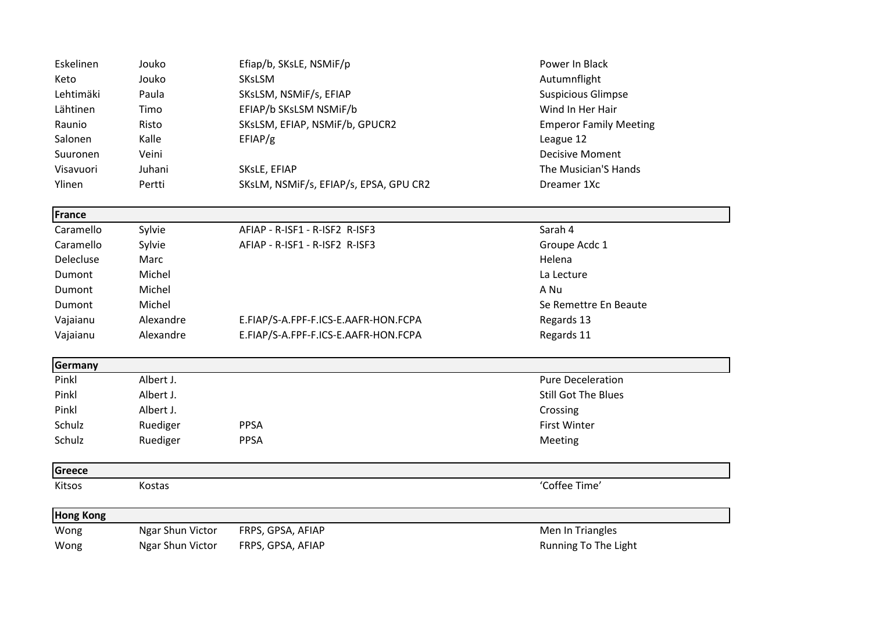| Eskelinen     | Jouko     | Efiap/b, SKsLE, NSMiF/p                | Power In Black                |
|---------------|-----------|----------------------------------------|-------------------------------|
| Keto          | Jouko     | <b>SKsLSM</b>                          | Autumnflight                  |
| Lehtimäki     | Paula     | SKsLSM, NSMiF/s, EFIAP                 | <b>Suspicious Glimpse</b>     |
| Lähtinen      | Timo      | EFIAP/b SKsLSM NSMiF/b                 | Wind In Her Hair              |
| Raunio        | Risto     | SKsLSM, EFIAP, NSMiF/b, GPUCR2         | <b>Emperor Family Meeting</b> |
| Salonen       | Kalle     | EFIAP/g                                | League 12                     |
| Suuronen      | Veini     |                                        | <b>Decisive Moment</b>        |
| Visavuori     | Juhani    | SKsLE, EFIAP                           | The Musician'S Hands          |
| Ylinen        | Pertti    | SKsLM, NSMIF/s, EFIAP/s, EPSA, GPU CR2 | Dreamer 1Xc                   |
|               |           |                                        |                               |
| <b>France</b> |           |                                        |                               |
| Caramello     | Sylvie    | AFIAP - R-ISF1 - R-ISF2 R-ISF3         | Sarah 4                       |
| Caramello     | Sylvie    | AFIAP - R-ISF1 - R-ISF2 R-ISF3         | Groupe Acdc 1                 |
| Delecluse     | Marc      |                                        | Helena                        |
| Dumont        | Michel    |                                        | La Lecture                    |
| Dumont        | Michel    |                                        | A Nu                          |
| Dumont        | Michel    |                                        | Se Remettre En Beaute         |
| Vajaianu      | Alexandre | E.FIAP/S-A.FPF-F.ICS-E.AAFR-HON.FCPA   | Regards 13                    |
| Vajaianu      | Alexandre | E.FIAP/S-A.FPF-F.ICS-E.AAFR-HON.FCPA   | Regards 11                    |
|               |           |                                        |                               |
| Germany       |           |                                        |                               |
| Pinkl         | Albert J. |                                        | <b>Pure Deceleration</b>      |
| Pinkl         | Albert J. |                                        | <b>Still Got The Blues</b>    |
| Pinkl         | Albert J. |                                        | Crossing                      |
| Schulz        | Ruediger  | <b>PPSA</b>                            | <b>First Winter</b>           |
| Schulz        | Ruediger  | <b>PPSA</b>                            | Meeting                       |

## **Greece**

**Kitsos Kostas 'Coffee Time'** (Coffee Time' 'Coffee Time' 'Coffee Time' 'Coffee Time' '

| <b>Hong Kong</b> |                  |                   |                      |
|------------------|------------------|-------------------|----------------------|
| Wong             | Ngar Shun Victor | FRPS, GPSA, AFIAP | Men In Triangles     |
| Wong             | Ngar Shun Victor | FRPS, GPSA, AFIAP | Running To The Light |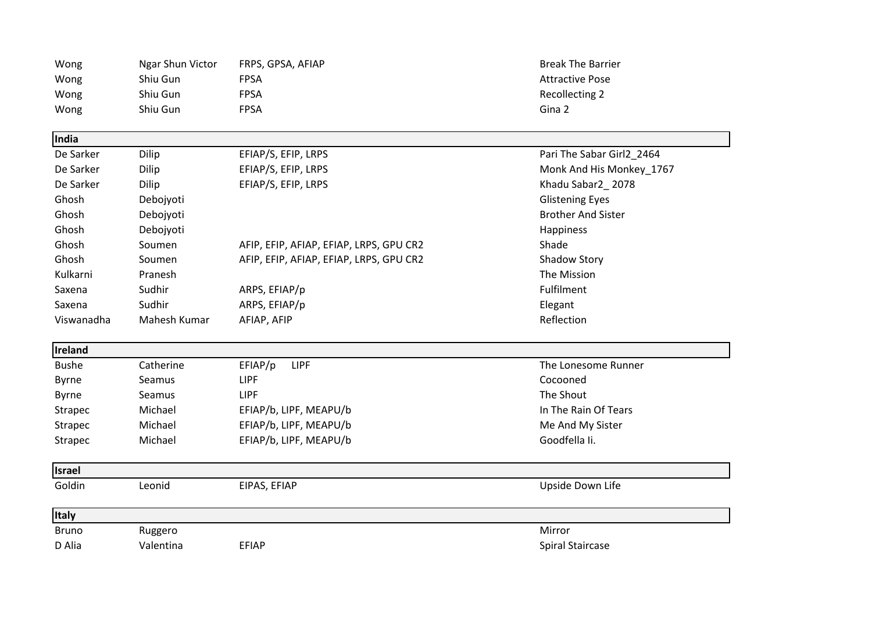| Wong           | Ngar Shun Victor | FRPS, GPSA, AFIAP                       | <b>Break The Barrier</b>  |
|----------------|------------------|-----------------------------------------|---------------------------|
| Wong           | Shiu Gun         | <b>FPSA</b>                             | <b>Attractive Pose</b>    |
| Wong           | Shiu Gun         | <b>FPSA</b>                             | Recollecting 2            |
| Wong           | Shiu Gun         | <b>FPSA</b>                             | Gina 2                    |
| India          |                  |                                         |                           |
| De Sarker      | Dilip            | EFIAP/S, EFIP, LRPS                     | Pari The Sabar Girl2_2464 |
| De Sarker      | Dilip            | EFIAP/S, EFIP, LRPS                     | Monk And His Monkey_1767  |
| De Sarker      | Dilip            | EFIAP/S, EFIP, LRPS                     | Khadu Sabar2_2078         |
| Ghosh          | Debojyoti        |                                         | <b>Glistening Eyes</b>    |
| Ghosh          | Debojyoti        |                                         | <b>Brother And Sister</b> |
| Ghosh          | Debojyoti        |                                         | Happiness                 |
| Ghosh          | Soumen           | AFIP, EFIP, AFIAP, EFIAP, LRPS, GPU CR2 | Shade                     |
| Ghosh          | Soumen           | AFIP, EFIP, AFIAP, EFIAP, LRPS, GPU CR2 | <b>Shadow Story</b>       |
| Kulkarni       | Pranesh          |                                         | The Mission               |
| Saxena         | Sudhir           | ARPS, EFIAP/p                           | Fulfilment                |
| Saxena         | Sudhir           | ARPS, EFIAP/p                           | Elegant                   |
| Viswanadha     | Mahesh Kumar     | AFIAP, AFIP                             | Reflection                |
| Ireland        |                  |                                         |                           |
| <b>Bushe</b>   | Catherine        | EFIAP/p<br><b>LIPF</b>                  | The Lonesome Runner       |
| Byrne          | Seamus           | LIPF                                    | Cocooned                  |
| <b>Byrne</b>   | Seamus           | <b>LIPF</b>                             | The Shout                 |
| <b>Strapec</b> | Michael          | EFIAP/b, LIPF, MEAPU/b                  | In The Rain Of Tears      |
| Strapec        | Michael          | EFIAP/b, LIPF, MEAPU/b                  | Me And My Sister          |
| <b>Strapec</b> | Michael          | EFIAP/b, LIPF, MEAPU/b                  | Goodfella Ii.             |
| <b>Israel</b>  |                  |                                         |                           |
| Goldin         | Leonid           | EIPAS, EFIAP                            | Upside Down Life          |
| Italy          |                  |                                         |                           |
| <b>Bruno</b>   | Ruggero          |                                         | Mirror                    |
| D Alia         | Valentina        | <b>EFIAP</b>                            | Spiral Staircase          |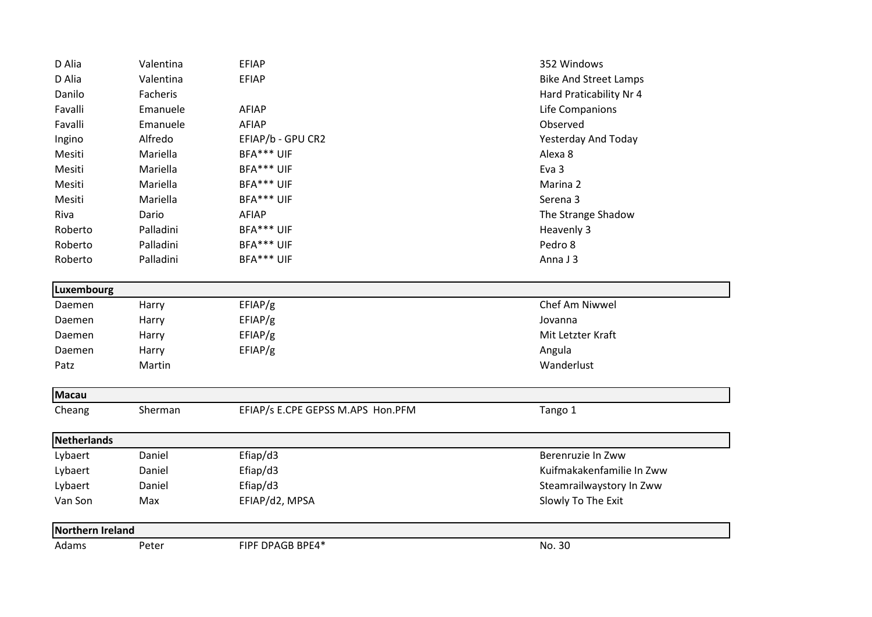| D Alia           | Valentina | <b>EFIAP</b>                      | 352 Windows                  |
|------------------|-----------|-----------------------------------|------------------------------|
| D Alia           | Valentina | <b>EFIAP</b>                      | <b>Bike And Street Lamps</b> |
| Danilo           | Facheris  |                                   | Hard Praticability Nr 4      |
| Favalli          | Emanuele  | AFIAP                             | Life Companions              |
| Favalli          | Emanuele  | <b>AFIAP</b>                      | Observed                     |
| Ingino           | Alfredo   | EFIAP/b - GPU CR2                 | Yesterday And Today          |
| Mesiti           | Mariella  | BFA*** UIF                        | Alexa 8                      |
| Mesiti           | Mariella  | BFA*** UIF                        | Eva 3                        |
| Mesiti           | Mariella  | BFA*** UIF                        | Marina 2                     |
| Mesiti           | Mariella  | BFA*** UIF                        | Serena 3                     |
| Riva             | Dario     | AFIAP                             | The Strange Shadow           |
| Roberto          | Palladini | BFA*** UIF                        | Heavenly 3                   |
| Roberto          | Palladini | BFA*** UIF                        | Pedro 8                      |
| Roberto          | Palladini | BFA*** UIF                        | Anna J 3                     |
| Luxembourg       |           |                                   |                              |
| Daemen           | Harry     | EFIAP/g                           | Chef Am Niwwel               |
| Daemen           | Harry     | EFIAP/g                           | Jovanna                      |
| Daemen           | Harry     | EFIAP/g                           | Mit Letzter Kraft            |
| Daemen           | Harry     | EFIAP/g                           | Angula                       |
| Patz             | Martin    |                                   | Wanderlust                   |
| <b>Macau</b>     |           |                                   |                              |
| Cheang           | Sherman   | EFIAP/s E.CPE GEPSS M.APS Hon.PFM | Tango 1                      |
| Netherlands      |           |                                   |                              |
| Lybaert          | Daniel    | Efiap/d3                          | Berenruzie In Zww            |
| Lybaert          | Daniel    | Efiap/d3                          | Kuifmakakenfamilie In Zww    |
| Lybaert          | Daniel    | Efiap/d3                          | Steamrailwaystory In Zww     |
| Van Son          | Max       | EFIAP/d2, MPSA                    | Slowly To The Exit           |
| Northern Ireland |           |                                   |                              |
| Adams            | Peter     | FIPF DPAGB BPE4*                  | No. 30                       |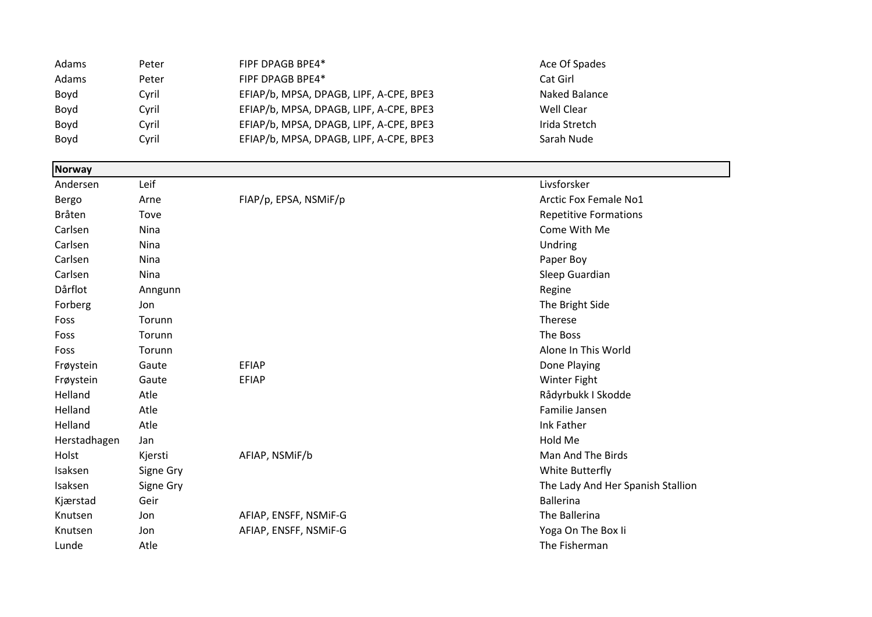| Adams | Peter | FIPF DPAGB BPE4*                        | Ace Of Spades |
|-------|-------|-----------------------------------------|---------------|
| Adams | Peter | FIPF DPAGB BPE4*                        | Cat Girl      |
| Boyd  | Cyril | EFIAP/b, MPSA, DPAGB, LIPF, A-CPE, BPE3 | Naked Balance |
| Boyd  | Cyril | EFIAP/b, MPSA, DPAGB, LIPF, A-CPE, BPE3 | Well Clear    |
| Boyd  | Cyril | EFIAP/b, MPSA, DPAGB, LIPF, A-CPE, BPE3 | Irida Stretch |
| Boyd  | Cvril | EFIAP/b, MPSA, DPAGB, LIPF, A-CPE, BPE3 | Sarah Nude    |

| <b>Norway</b> |           |                       |                                   |
|---------------|-----------|-----------------------|-----------------------------------|
| Andersen      | Leif      |                       | Livsforsker                       |
| Bergo         | Arne      | FIAP/p, EPSA, NSMIF/p | <b>Arctic Fox Female No1</b>      |
| Bråten        | Tove      |                       | <b>Repetitive Formations</b>      |
| Carlsen       | Nina      |                       | Come With Me                      |
| Carlsen       | Nina      |                       | Undring                           |
| Carlsen       | Nina      |                       | Paper Boy                         |
| Carlsen       | Nina      |                       | Sleep Guardian                    |
| Dårflot       | Anngunn   |                       | Regine                            |
| Forberg       | Jon       |                       | The Bright Side                   |
| Foss          | Torunn    |                       | Therese                           |
| Foss          | Torunn    |                       | The Boss                          |
| Foss          | Torunn    |                       | Alone In This World               |
| Frøystein     | Gaute     | <b>EFIAP</b>          | Done Playing                      |
| Frøystein     | Gaute     | <b>EFIAP</b>          | <b>Winter Fight</b>               |
| Helland       | Atle      |                       | Rådyrbukk I Skodde                |
| Helland       | Atle      |                       | Familie Jansen                    |
| Helland       | Atle      |                       | Ink Father                        |
| Herstadhagen  | Jan       |                       | Hold Me                           |
| Holst         | Kjersti   | AFIAP, NSMIF/b        | Man And The Birds                 |
| Isaksen       | Signe Gry |                       | White Butterfly                   |
| Isaksen       | Signe Gry |                       | The Lady And Her Spanish Stallion |
| Kjærstad      | Geir      |                       | <b>Ballerina</b>                  |
| Knutsen       | Jon       | AFIAP, ENSFF, NSMIF-G | The Ballerina                     |
| Knutsen       | Jon       | AFIAP, ENSFF, NSMIF-G | Yoga On The Box Ii                |
| Lunde         | Atle      |                       | The Fisherman                     |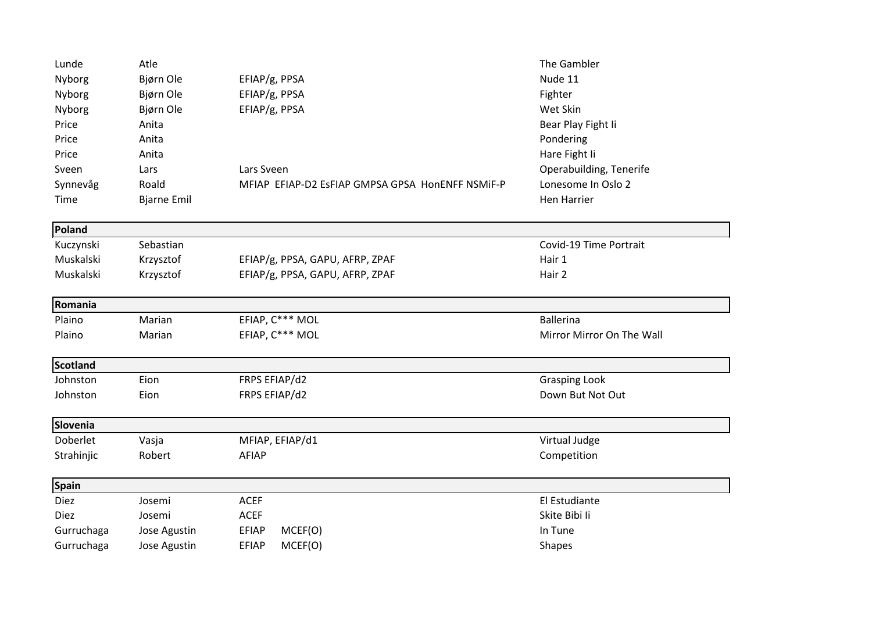| Lunde       | Atle               |                                                  | The Gambler               |
|-------------|--------------------|--------------------------------------------------|---------------------------|
| Nyborg      | Bjørn Ole          | EFIAP/g, PPSA                                    | Nude 11                   |
| Nyborg      | Bjørn Ole          | EFIAP/g, PPSA                                    | Fighter                   |
| Nyborg      | Bjørn Ole          | EFIAP/g, PPSA                                    | Wet Skin                  |
| Price       | Anita              |                                                  | Bear Play Fight Ii        |
| Price       | Anita              |                                                  | Pondering                 |
| Price       | Anita              |                                                  | Hare Fight Ii             |
| Sveen       | Lars               | Lars Sveen                                       | Operabuilding, Tenerife   |
| Synnevåg    | Roald              | MFIAP EFIAP-D2 EsFIAP GMPSA GPSA HonENFF NSMIF-P | Lonesome In Oslo 2        |
| Time        | <b>Bjarne Emil</b> |                                                  | <b>Hen Harrier</b>        |
| Poland      |                    |                                                  |                           |
| Kuczynski   | Sebastian          |                                                  | Covid-19 Time Portrait    |
| Muskalski   | Krzysztof          | EFIAP/g, PPSA, GAPU, AFRP, ZPAF                  | Hair 1                    |
| Muskalski   | Krzysztof          | EFIAP/g, PPSA, GAPU, AFRP, ZPAF                  | Hair 2                    |
| Romania     |                    |                                                  |                           |
| Plaino      | Marian             | EFIAP, C*** MOL                                  | <b>Ballerina</b>          |
| Plaino      | Marian             | EFIAP, C*** MOL                                  | Mirror Mirror On The Wall |
| Scotland    |                    |                                                  |                           |
| Johnston    | Eion               | FRPS EFIAP/d2                                    | <b>Grasping Look</b>      |
| Johnston    | Eion               | FRPS EFIAP/d2                                    | Down But Not Out          |
| Slovenia    |                    |                                                  |                           |
| Doberlet    | Vasja              | MFIAP, EFIAP/d1                                  | Virtual Judge             |
| Strahinjic  | Robert             | AFIAP                                            | Competition               |
| Spain       |                    |                                                  |                           |
| <b>Diez</b> | Josemi             | <b>ACEF</b>                                      | El Estudiante             |
| <b>Diez</b> | Josemi             | <b>ACEF</b>                                      | Skite Bibi li             |
| Gurruchaga  | Jose Agustin       | <b>EFIAP</b><br>MCEF(O)                          | In Tune                   |
| Gurruchaga  | Jose Agustin       | <b>EFIAP</b><br>MCEF(O)                          | Shapes                    |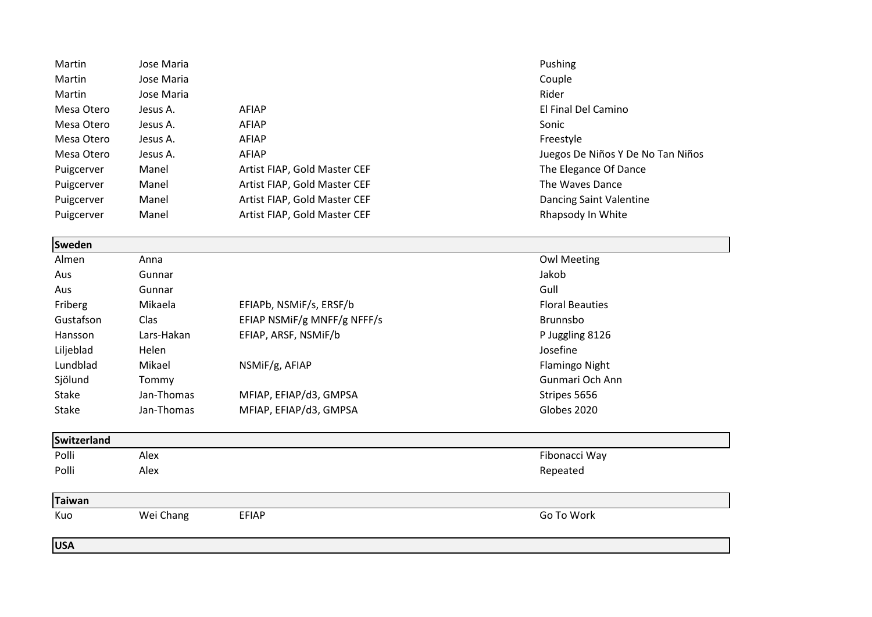| Martin             | Jose Maria |                              | Pushing                           |
|--------------------|------------|------------------------------|-----------------------------------|
| Martin             | Jose Maria |                              | Couple                            |
| Martin             | Jose Maria |                              | Rider                             |
| Mesa Otero         | Jesus A.   | <b>AFIAP</b>                 | El Final Del Camino               |
| Mesa Otero         | Jesus A.   | <b>AFIAP</b>                 | Sonic                             |
| Mesa Otero         | Jesus A.   | AFIAP                        | Freestyle                         |
| Mesa Otero         | Jesus A.   | <b>AFIAP</b>                 | Juegos De Niños Y De No Tan Niños |
| Puigcerver         | Manel      | Artist FIAP, Gold Master CEF | The Elegance Of Dance             |
| Puigcerver         | Manel      | Artist FIAP, Gold Master CEF | The Waves Dance                   |
| Puigcerver         | Manel      | Artist FIAP, Gold Master CEF | Dancing Saint Valentine           |
| Puigcerver         | Manel      | Artist FIAP, Gold Master CEF | Rhapsody In White                 |
| Sweden             |            |                              |                                   |
| Almen              | Anna       |                              | <b>Owl Meeting</b>                |
| Aus                | Gunnar     |                              | Jakob                             |
| Aus                | Gunnar     |                              | Gull                              |
| Friberg            | Mikaela    | EFIAPb, NSMiF/s, ERSF/b      | <b>Floral Beauties</b>            |
| Gustafson          | Clas       | EFIAP NSMIF/g MNFF/g NFFF/s  | Brunnsbo                          |
| Hansson            | Lars-Hakan | EFIAP, ARSF, NSMiF/b         | P Juggling 8126                   |
| Liljeblad          | Helen      |                              | Josefine                          |
| Lundblad           | Mikael     | NSMiF/g, AFIAP               | Flamingo Night                    |
| Sjölund            | Tommy      |                              | Gunmari Och Ann                   |
| <b>Stake</b>       | Jan-Thomas | MFIAP, EFIAP/d3, GMPSA       | Stripes 5656                      |
| Stake              | Jan-Thomas | MFIAP, EFIAP/d3, GMPSA       | Globes 2020                       |
| <b>Switzerland</b> |            |                              |                                   |
| Polli              | Alex       |                              | Fibonacci Way                     |
| Polli              | Alex       |                              | Repeated                          |
| <b>Taiwan</b>      |            |                              |                                   |
| Kuo                | Wei Chang  | <b>EFIAP</b>                 | Go To Work                        |
| <b>USA</b>         |            |                              |                                   |